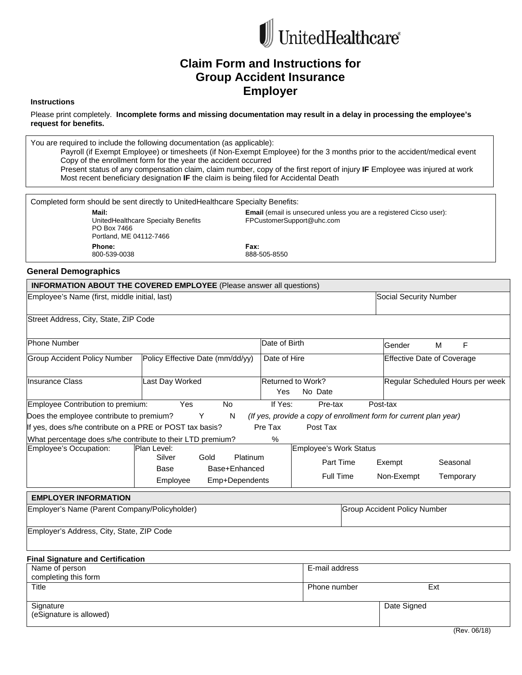

# **Claim Form and Instructions for Group Accident Insurance Employer**

#### **Instructions**

Please print completely. **Incomplete forms and missing documentation may result in a delay in processing the employee's request for benefits.**

You are required to include the following documentation (as applicable): Payroll (if Exempt Employee) or timesheets (if Non-Exempt Employee) for the 3 months prior to the accident/medical event Copy of the enrollment form for the year the accident occurred Present status of any compensation claim, claim number, copy of the first report of injury **IF** Employee was injured at work Most recent beneficiary designation **IF** the claim is being filed for Accidental Death

| Completed form should be sent directly to UnitedHealthcare Specialty Benefits:         |                                                                                                        |  |  |
|----------------------------------------------------------------------------------------|--------------------------------------------------------------------------------------------------------|--|--|
| Mail:<br>UnitedHealthcare Specialty Benefits<br>PO Box 7466<br>Portland, ME 04112-7466 | <b>Email</b> (email is unsecured unless you are a registered Cicso user):<br>FPCustomerSupport@uhc.com |  |  |
| Phone:<br>800-539-0038                                                                 | Fax:<br>888-505-8550                                                                                   |  |  |

#### **General Demographics**

|                                                            | <b>INFORMATION ABOUT THE COVERED EMPLOYEE</b> (Please answer all questions) |               |                               |                                                                   |                                   |  |
|------------------------------------------------------------|-----------------------------------------------------------------------------|---------------|-------------------------------|-------------------------------------------------------------------|-----------------------------------|--|
| Employee's Name (first, middle initial, last)              |                                                                             |               |                               |                                                                   | Social Security Number            |  |
| Street Address, City, State, ZIP Code                      |                                                                             |               |                               |                                                                   |                                   |  |
| <b>Phone Number</b>                                        |                                                                             | Date of Birth |                               | Gender                                                            | F<br>M                            |  |
| <b>Group Accident Policy Number</b>                        | Policy Effective Date (mm/dd/yy)                                            | Date of Hire  |                               |                                                                   | <b>Effective Date of Coverage</b> |  |
| <b>Insurance Class</b>                                     | Returned to Work?<br>Yes<br>No Date                                         |               |                               | Regular Scheduled Hours per week                                  |                                   |  |
| Employee Contribution to premium:                          | Yes<br><b>No</b>                                                            | If Yes:       | Pre-tax                       | Post-tax                                                          |                                   |  |
| Does the employee contribute to premium?                   | Y<br>N                                                                      |               |                               | (If yes, provide a copy of enrollment form for current plan year) |                                   |  |
| If yes, does s/he contribute on a PRE or POST tax basis?   |                                                                             | Pre Tax       | Post Tax                      |                                                                   |                                   |  |
| What percentage does s/he contribute to their LTD premium? |                                                                             | $\%$          |                               |                                                                   |                                   |  |
| Employee's Occupation:                                     | Plan Level:                                                                 |               | <b>Employee's Work Status</b> |                                                                   |                                   |  |
|                                                            | Silver<br>Platinum<br>Gold                                                  |               | Part Time                     |                                                                   | Seasonal                          |  |
|                                                            | Base+Enhanced<br>Base                                                       |               |                               | Exempt                                                            |                                   |  |
|                                                            | Emp+Dependents<br>Employee                                                  |               | <b>Full Time</b>              | Non-Exempt                                                        | Temporary                         |  |
| <b>EMPLOYER INFORMATION</b>                                |                                                                             |               |                               |                                                                   |                                   |  |
| Employer's Name (Parent Company/Policyholder)              |                                                                             |               |                               | <b>Group Accident Policy Number</b>                               |                                   |  |
| Employer's Address, City, State, ZIP Code                  |                                                                             |               |                               |                                                                   |                                   |  |
| <b>Final Signature and Certification</b>                   |                                                                             |               |                               |                                                                   |                                   |  |
| Name of person                                             |                                                                             |               | E-mail address                |                                                                   |                                   |  |
| completing this form                                       |                                                                             |               |                               |                                                                   |                                   |  |
| Title                                                      |                                                                             |               | Phone number                  |                                                                   | Ext                               |  |
| Signature                                                  |                                                                             |               |                               | Date Signed                                                       |                                   |  |
| (eSignature is allowed)                                    |                                                                             |               |                               |                                                                   |                                   |  |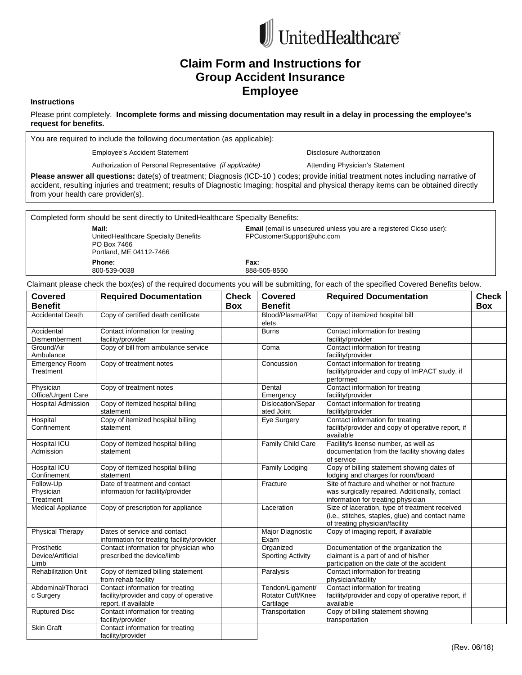

# **Claim Form and Instructions for Group Accident Insurance Employee**

#### **Instructions**

Please print completely. **Incomplete forms and missing documentation may result in a delay in processing the employee's request for benefits.**

You are required to include the following documentation (as applicable):

Employee's Accident Statement Disclosure Authorization

Authorization of Personal Representative (if applicable) **Attending Physician's Statement** 

**Please answer all questions:** date(s) of treatment; Diagnosis (ICD-10 ) codes; provide initial treatment notes including narrative of accident, resulting injuries and treatment; results of Diagnostic Imaging; hospital and physical therapy items can be obtained directly from your health care provider(s).

Completed form should be sent directly to UnitedHealthcare Specialty Benefits:

**Mail:**  UnitedHealthcare Specialty Benefits PO Box 7466 Portland, ME 04112-7466 **Phone:**  800-539-0038

**Email** (email is unsecured unless you are a registered Cicso user): FPCustomerSupport@uhc.com

**Fax:** 888-505-8550

Claimant please check the box(es) of the required documents you will be submitting, for each of the specified Covered Benefits below.

| Covered                                 | <b>Required Documentation</b>                                                                       | <b>Check</b> | Covered                                            | <b>Required Documentation</b>                                                                                                        | <b>Check</b> |
|-----------------------------------------|-----------------------------------------------------------------------------------------------------|--------------|----------------------------------------------------|--------------------------------------------------------------------------------------------------------------------------------------|--------------|
| <b>Benefit</b>                          |                                                                                                     | <b>Box</b>   | <b>Benefit</b>                                     |                                                                                                                                      | <b>Box</b>   |
| <b>Accidental Death</b>                 | Copy of certified death certificate                                                                 |              | Blood/Plasma/Plat<br>elets                         | Copy of itemized hospital bill                                                                                                       |              |
| Accidental                              | Contact information for treating                                                                    |              | <b>Burns</b>                                       | Contact information for treating                                                                                                     |              |
| Dismemberment                           | facility/provider                                                                                   |              |                                                    | facility/provider                                                                                                                    |              |
| Ground/Air<br>Ambulance                 | Copy of bill from ambulance service                                                                 |              | Coma                                               | Contact information for treating<br>facility/provider                                                                                |              |
| <b>Emergency Room</b><br>Treatment      | Copy of treatment notes                                                                             |              | Concussion                                         | Contact information for treating<br>facility/provider and copy of ImPACT study, if<br>performed                                      |              |
| Physician                               | Copy of treatment notes                                                                             |              | Dental                                             | Contact information for treating                                                                                                     |              |
| Office/Urgent Care                      |                                                                                                     |              | Emergency                                          | facility/provider                                                                                                                    |              |
| <b>Hospital Admission</b>               | Copy of itemized hospital billing                                                                   |              | Dislocation/Separ                                  | Contact information for treating                                                                                                     |              |
|                                         | statement                                                                                           |              | ated Joint                                         | facility/provider                                                                                                                    |              |
| Hospital<br>Confinement                 | Copy of itemized hospital billing<br>statement                                                      |              | Eye Surgery                                        | Contact information for treating<br>facility/provider and copy of operative report, if<br>available                                  |              |
| Hospital ICU<br>Admission               | Copy of itemized hospital billing<br>statement                                                      |              | Family Child Care                                  | Facility's license number, as well as<br>documentation from the facility showing dates<br>of service                                 |              |
| Hospital ICU<br>Confinement             | Copy of itemized hospital billing<br>statement                                                      |              | Family Lodging                                     | Copy of billing statement showing dates of<br>lodging and charges for room/board                                                     |              |
| Follow-Up                               | Date of treatment and contact                                                                       |              | Fracture                                           | Site of fracture and whether or not fracture                                                                                         |              |
| Physician<br>Treatment                  | information for facility/provider                                                                   |              |                                                    | was surgically repaired. Additionally, contact<br>information for treating physician                                                 |              |
| <b>Medical Appliance</b>                | Copy of prescription for appliance                                                                  |              | Laceration                                         | Size of laceration, type of treatment received<br>(i.e., stitches, staples, glue) and contact name<br>of treating physician/facility |              |
| <b>Physical Therapy</b>                 | Dates of service and contact<br>information for treating facility/provider                          |              | Major Diagnostic<br>Exam                           | Copy of imaging report, if available                                                                                                 |              |
| Prosthetic<br>Device/Artificial<br>Limb | Contact information for physician who<br>prescribed the device/limb                                 |              | Organized<br><b>Sporting Activity</b>              | Documentation of the organization the<br>claimant is a part of and of his/her<br>participation on the date of the accident           |              |
| <b>Rehabilitation Unit</b>              | Copy of itemized billing statement<br>from rehab facility                                           |              | Paralysis                                          | Contact information for treating<br>physician/facility                                                                               |              |
| Abdominal/Thoraci<br>c Surgery          | Contact information for treating<br>facility/provider and copy of operative<br>report, if available |              | Tendon/Ligament/<br>Rotator Cuff/Knee<br>Cartilage | Contact information for treating<br>facility/provider and copy of operative report, if<br>available                                  |              |
| <b>Ruptured Disc</b>                    | Contact information for treating<br>facility/provider                                               |              | Transportation                                     | Copy of billing statement showing<br>transportation                                                                                  |              |
| <b>Skin Graft</b>                       | Contact information for treating<br>facility/provider                                               |              |                                                    |                                                                                                                                      |              |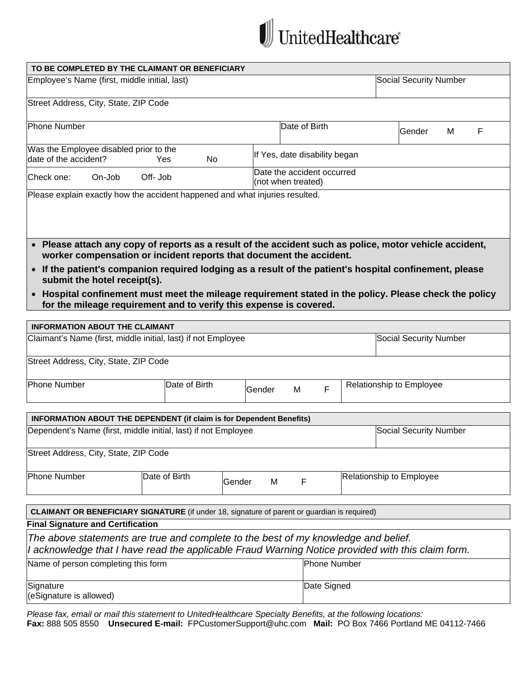

|                                               | TO BE COMPLETED BY THE CLAIMANT OR BENEFICIARY                                                                                                                                                                                                                                                                                                                                                                                                                            |             |                                                  |             |                     |                               |   |   |
|-----------------------------------------------|---------------------------------------------------------------------------------------------------------------------------------------------------------------------------------------------------------------------------------------------------------------------------------------------------------------------------------------------------------------------------------------------------------------------------------------------------------------------------|-------------|--------------------------------------------------|-------------|---------------------|-------------------------------|---|---|
| Employee's Name (first, middle initial, last) |                                                                                                                                                                                                                                                                                                                                                                                                                                                                           |             |                                                  |             |                     | <b>Social Security Number</b> |   |   |
| Street Address, City, State, ZIP Code         |                                                                                                                                                                                                                                                                                                                                                                                                                                                                           |             |                                                  |             |                     |                               |   |   |
|                                               |                                                                                                                                                                                                                                                                                                                                                                                                                                                                           |             |                                                  |             |                     |                               |   |   |
| <b>Phone Number</b>                           |                                                                                                                                                                                                                                                                                                                                                                                                                                                                           |             | Date of Birth                                    |             |                     | Gender                        | M | F |
| Was the Employee disabled prior to the        |                                                                                                                                                                                                                                                                                                                                                                                                                                                                           |             |                                                  |             |                     |                               |   |   |
| date of the accident?                         | Yes<br>No                                                                                                                                                                                                                                                                                                                                                                                                                                                                 |             | If Yes, date disability began                    |             |                     |                               |   |   |
| Check one:<br>On-Job                          | Off-Job                                                                                                                                                                                                                                                                                                                                                                                                                                                                   |             | Date the accident occurred<br>(not when treated) |             |                     |                               |   |   |
|                                               | Please explain exactly how the accident happened and what injuries resulted.                                                                                                                                                                                                                                                                                                                                                                                              |             |                                                  |             |                     |                               |   |   |
| submit the hotel receipt(s).                  | . Please attach any copy of reports as a result of the accident such as police, motor vehicle accident,<br>worker compensation or incident reports that document the accident.<br>• If the patient's companion required lodging as a result of the patient's hospital confinement, please<br>• Hospital confinement must meet the mileage requirement stated in the policy. Please check the policy<br>for the mileage requirement and to verify this expense is covered. |             |                                                  |             |                     |                               |   |   |
|                                               |                                                                                                                                                                                                                                                                                                                                                                                                                                                                           |             |                                                  |             |                     |                               |   |   |
| <b>INFORMATION ABOUT THE CLAIMANT</b>         |                                                                                                                                                                                                                                                                                                                                                                                                                                                                           |             |                                                  |             |                     |                               |   |   |
|                                               | Claimant's Name (first, middle initial, last) if not Employee                                                                                                                                                                                                                                                                                                                                                                                                             |             |                                                  |             |                     | <b>Social Security Number</b> |   |   |
| Street Address, City, State, ZIP Code         |                                                                                                                                                                                                                                                                                                                                                                                                                                                                           |             |                                                  |             |                     |                               |   |   |
| <b>Phone Number</b>                           | Date of Birth                                                                                                                                                                                                                                                                                                                                                                                                                                                             | Gender      | M                                                | F           |                     | Relationship to Employee      |   |   |
|                                               |                                                                                                                                                                                                                                                                                                                                                                                                                                                                           |             |                                                  |             |                     |                               |   |   |
|                                               | <b>INFORMATION ABOUT THE DEPENDENT (if claim is for Dependent Benefits)</b>                                                                                                                                                                                                                                                                                                                                                                                               |             |                                                  |             |                     |                               |   |   |
|                                               | Dependent's Name (first, middle initial, last) if not Employee                                                                                                                                                                                                                                                                                                                                                                                                            |             |                                                  |             |                     | <b>Social Security Number</b> |   |   |
| Street Address, City, State, ZIP Code         |                                                                                                                                                                                                                                                                                                                                                                                                                                                                           |             |                                                  |             |                     |                               |   |   |
| <b>Phone Number</b>                           | Date of Birth                                                                                                                                                                                                                                                                                                                                                                                                                                                             | Gender<br>M | F                                                |             |                     | Relationship to Employee      |   |   |
|                                               |                                                                                                                                                                                                                                                                                                                                                                                                                                                                           |             |                                                  |             |                     |                               |   |   |
|                                               | <b>CLAIMANT OR BENEFICIARY SIGNATURE</b> (if under 18, signature of parent or guardian is required)                                                                                                                                                                                                                                                                                                                                                                       |             |                                                  |             |                     |                               |   |   |
| <b>Final Signature and Certification</b>      |                                                                                                                                                                                                                                                                                                                                                                                                                                                                           |             |                                                  |             |                     |                               |   |   |
|                                               | The above statements are true and complete to the best of my knowledge and belief.                                                                                                                                                                                                                                                                                                                                                                                        |             |                                                  |             |                     |                               |   |   |
|                                               | I acknowledge that I have read the applicable Fraud Warning Notice provided with this claim form.                                                                                                                                                                                                                                                                                                                                                                         |             |                                                  |             |                     |                               |   |   |
| Name of person completing this form           |                                                                                                                                                                                                                                                                                                                                                                                                                                                                           |             |                                                  |             | <b>Phone Number</b> |                               |   |   |
| Signature<br>(eSignature is allowed)          |                                                                                                                                                                                                                                                                                                                                                                                                                                                                           |             |                                                  | Date Signed |                     |                               |   |   |

*Please fax, email or mail this statement to UnitedHealthcare Specialty Benefits, at the following locations:*  **Fax:** 888 505 8550 **Unsecured E-mail:** FPCustomerSupport@uhc.com **Mail:** PO Box 7466 Portland ME 04112-7466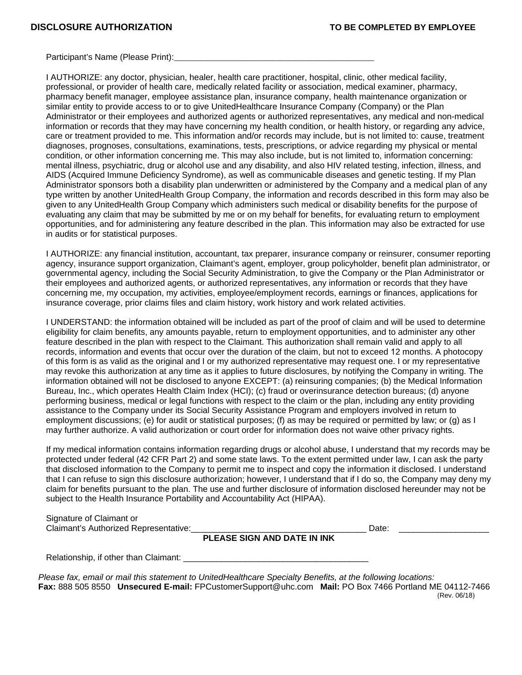Participant's Name (Please Print):

I AUTHORIZE: any doctor, physician, healer, health care practitioner, hospital, clinic, other medical facility, professional, or provider of health care, medically related facility or association, medical examiner, pharmacy, pharmacy benefit manager, employee assistance plan, insurance company, health maintenance organization or similar entity to provide access to or to give UnitedHealthcare Insurance Company (Company) or the Plan Administrator or their employees and authorized agents or authorized representatives, any medical and non-medical information or records that they may have concerning my health condition, or health history, or regarding any advice, care or treatment provided to me. This information and/or records may include, but is not limited to: cause, treatment diagnoses, prognoses, consultations, examinations, tests, prescriptions, or advice regarding my physical or mental condition, or other information concerning me. This may also include, but is not limited to, information concerning: mental illness, psychiatric, drug or alcohol use and any disability, and also HIV related testing, infection, illness, and AIDS (Acquired Immune Deficiency Syndrome), as well as communicable diseases and genetic testing. If my Plan Administrator sponsors both a disability plan underwritten or administered by the Company and a medical plan of any type written by another UnitedHealth Group Company, the information and records described in this form may also be given to any UnitedHealth Group Company which administers such medical or disability benefits for the purpose of evaluating any claim that may be submitted by me or on my behalf for benefits, for evaluating return to employment opportunities, and for administering any feature described in the plan. This information may also be extracted for use in audits or for statistical purposes.

I AUTHORIZE: any financial institution, accountant, tax preparer, insurance company or reinsurer, consumer reporting agency, insurance support organization, Claimant's agent, employer, group policyholder, benefit plan administrator, or governmental agency, including the Social Security Administration, to give the Company or the Plan Administrator or their employees and authorized agents, or authorized representatives, any information or records that they have concerning me, my occupation, my activities, employee/employment records, earnings or finances, applications for insurance coverage, prior claims files and claim history, work history and work related activities.

I UNDERSTAND: the information obtained will be included as part of the proof of claim and will be used to determine eligibility for claim benefits, any amounts payable, return to employment opportunities, and to administer any other feature described in the plan with respect to the Claimant. This authorization shall remain valid and apply to all records, information and events that occur over the duration of the claim, but not to exceed 12 months. A photocopy of this form is as valid as the original and I or my authorized representative may request one. I or my representative may revoke this authorization at any time as it applies to future disclosures, by notifying the Company in writing. The information obtained will not be disclosed to anyone EXCEPT: (a) reinsuring companies; (b) the Medical Information Bureau, Inc., which operates Health Claim Index (HCI); (c) fraud or overinsurance detection bureaus; (d) anyone performing business, medical or legal functions with respect to the claim or the plan, including any entity providing assistance to the Company under its Social Security Assistance Program and employers involved in return to employment discussions; (e) for audit or statistical purposes; (f) as may be required or permitted by law; or (g) as I may further authorize. A valid authorization or court order for information does not waive other privacy rights.

If my medical information contains information regarding drugs or alcohol abuse, I understand that my records may be protected under federal (42 CFR Part 2) and some state laws. To the extent permitted under law, I can ask the party that disclosed information to the Company to permit me to inspect and copy the information it disclosed. I understand that I can refuse to sign this disclosure authorization; however, I understand that if I do so, the Company may deny my claim for benefits pursuant to the plan. The use and further disclosure of information disclosed hereunder may not be subject to the Health Insurance Portability and Accountability Act (HIPAA).

| Signature of Claimant or              |       |  |
|---------------------------------------|-------|--|
| Claimant's Authorized Representative: | Date: |  |

## **PLEASE SIGN AND DATE IN INK**

Relationship, if other than Claimant:

*Please fax, email or mail this statement to UnitedHealthcare Specialty Benefits, at the following locations:*  **Fax:** 888 505 8550 **Unsecured E-mail:** FPCustomerSupport@uhc.com **Mail:** PO Box 7466 Portland ME 04112-7466 (Rev. 06/18)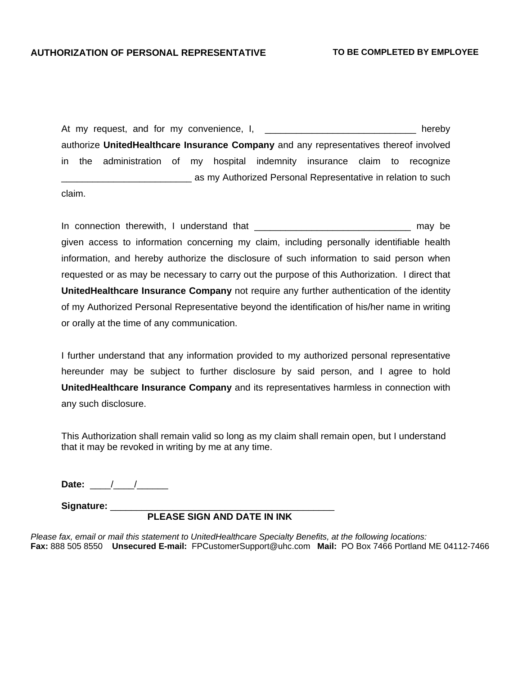At my request, and for my convenience, I, \_\_\_\_\_\_\_\_\_\_\_\_\_\_\_\_\_\_\_\_\_\_\_\_\_\_\_\_\_ hereby authorize **UnitedHealthcare Insurance Company** and any representatives thereof involved in the administration of my hospital indemnity insurance claim to recognize \_\_\_\_\_\_\_\_\_\_\_\_\_\_\_\_\_\_\_\_\_\_\_\_\_ as my Authorized Personal Representative in relation to such

claim.

In connection therewith, I understand that \_\_\_\_\_\_\_\_\_\_\_\_\_\_\_\_\_\_\_\_\_\_\_\_\_\_\_\_\_\_ may be given access to information concerning my claim, including personally identifiable health information, and hereby authorize the disclosure of such information to said person when requested or as may be necessary to carry out the purpose of this Authorization. I direct that **UnitedHealthcare Insurance Company** not require any further authentication of the identity of my Authorized Personal Representative beyond the identification of his/her name in writing or orally at the time of any communication.

I further understand that any information provided to my authorized personal representative hereunder may be subject to further disclosure by said person, and I agree to hold **UnitedHealthcare Insurance Company** and its representatives harmless in connection with any such disclosure.

This Authorization shall remain valid so long as my claim shall remain open, but I understand that it may be revoked in writing by me at any time.

Date: \_\_\_\_/\_\_\_\_/\_\_\_\_\_\_\_

**Signature:** \_\_\_\_\_\_\_\_\_\_\_\_\_\_\_\_\_\_\_\_\_\_\_\_\_\_\_\_\_\_\_\_\_\_\_\_\_\_\_\_\_\_\_

## **PLEASE SIGN AND DATE IN INK**

*Please fax, email or mail this statement to UnitedHealthcare Specialty Benefits, at the following locations:*  **Fax:** 888 505 8550 **Unsecured E-mail:** FPCustomerSupport@uhc.com **Mail:** PO Box 7466 Portland ME 04112-7466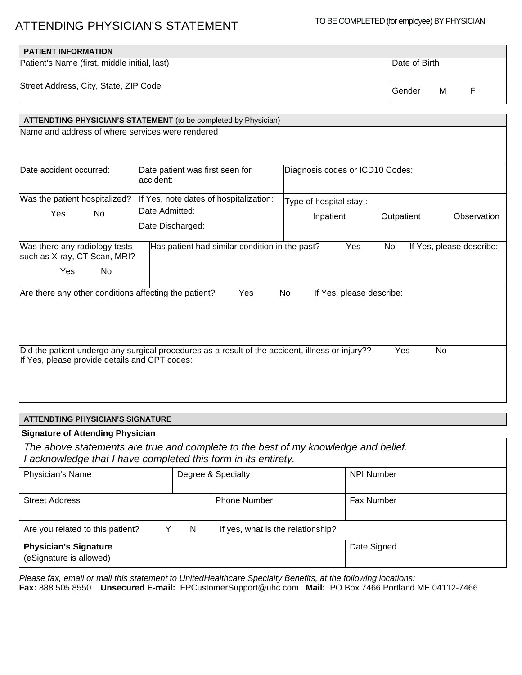# ATTENDING PHYSICIAN'S STATEMENT TO BE COMPLETED (for employee) BY PHYSICIAN

| <b>PATIENT INFORMATION</b>                   |                          |
|----------------------------------------------|--------------------------|
| Patient's Name (first, middle initial, last) | Date of Birth            |
| Street Address, City, State, ZIP Code        | <b>IGender</b><br>м<br>E |

|                                                                                                | ATTENDTING PHYSICIAN'S STATEMENT (to be completed by Physician)                                  |                                 |                                |  |
|------------------------------------------------------------------------------------------------|--------------------------------------------------------------------------------------------------|---------------------------------|--------------------------------|--|
| Name and address of where services were rendered                                               |                                                                                                  |                                 |                                |  |
| Date accident occurred:                                                                        | Date patient was first seen for<br>accident:                                                     | Diagnosis codes or ICD10 Codes: |                                |  |
| Was the patient hospitalized?                                                                  | If Yes, note dates of hospitalization:                                                           | Type of hospital stay:          |                                |  |
| Yes<br>No                                                                                      | Date Admitted:<br>Date Discharged:                                                               | Inpatient                       | Outpatient<br>Observation      |  |
| Was there any radiology tests<br>such as X-ray, CT Scan, MRI?<br><b>No</b><br>Yes              | Has patient had similar condition in the past?                                                   | Yes                             | No<br>If Yes, please describe: |  |
| Are there any other conditions affecting the patient?<br>Yes<br>No<br>If Yes, please describe: |                                                                                                  |                                 |                                |  |
| If Yes, please provide details and CPT codes:                                                  | Did the patient undergo any surgical procedures as a result of the accident, illness or injury?? |                                 | Yes<br><b>No</b>               |  |

# **ATTENDTING PHYSICIAN'S SIGNATURE**

## **Signature of Attending Physician**

*The above statements are true and complete to the best of my knowledge and belief. I acknowledge that I have completed this form in its entirety.*

| Physician's Name                                        | Degree & Specialty |                                   | <b>NPI Number</b> |
|---------------------------------------------------------|--------------------|-----------------------------------|-------------------|
| <b>Street Address</b>                                   |                    | <b>Phone Number</b>               | Fax Number        |
| Are you related to this patient?                        | N                  | If yes, what is the relationship? |                   |
| <b>Physician's Signature</b><br>(eSignature is allowed) |                    |                                   | Date Signed       |

*Please fax, email or mail this statement to UnitedHealthcare Specialty Benefits, at the following locations:*  **Fax:** 888 505 8550 **Unsecured E-mail:** FPCustomerSupport@uhc.com **Mail:** PO Box 7466 Portland ME 04112-7466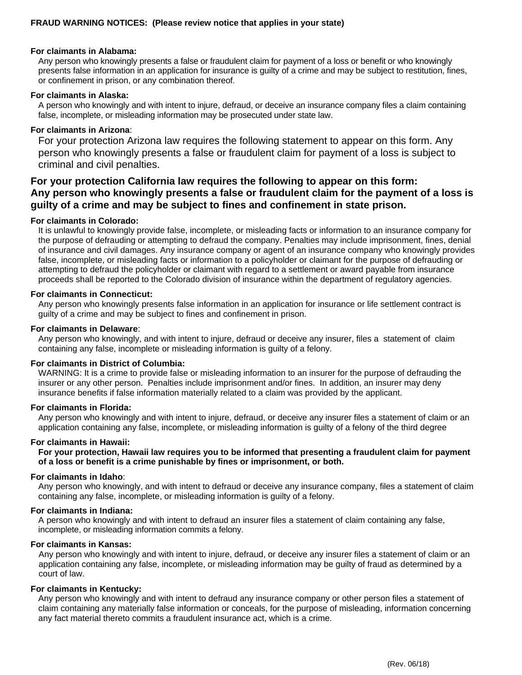#### **For claimants in Alabama:**

Any person who knowingly presents a false or fraudulent claim for payment of a loss or benefit or who knowingly presents false information in an application for insurance is guilty of a crime and may be subject to restitution, fines, or confinement in prison, or any combination thereof.

#### **For claimants in Alaska:**

A person who knowingly and with intent to injure, defraud, or deceive an insurance company files a claim containing false, incomplete, or misleading information may be prosecuted under state law.

#### **For claimants in Arizona**:

For your protection Arizona law requires the following statement to appear on this form. Any person who knowingly presents a false or fraudulent claim for payment of a loss is subject to criminal and civil penalties.

# **For your protection California law requires the following to appear on this form: Any person who knowingly presents a false or fraudulent claim for the payment of a loss is guilty of a crime and may be subject to fines and confinement in state prison.**

#### **For claimants in Colorado:**

It is unlawful to knowingly provide false, incomplete, or misleading facts or information to an insurance company for the purpose of defrauding or attempting to defraud the company. Penalties may include imprisonment, fines, denial of insurance and civil damages. Any insurance company or agent of an insurance company who knowingly provides false, incomplete, or misleading facts or information to a policyholder or claimant for the purpose of defrauding or attempting to defraud the policyholder or claimant with regard to a settlement or award payable from insurance proceeds shall be reported to the Colorado division of insurance within the department of regulatory agencies.

#### **For claimants in Connecticut:**

Any person who knowingly presents false information in an application for insurance or life settlement contract is guilty of a crime and may be subject to fines and confinement in prison.

#### **For claimants in Delaware**:

Any person who knowingly, and with intent to injure, defraud or deceive any insurer, files a statement of claim containing any false, incomplete or misleading information is guilty of a felony.

#### **For claimants in District of Columbia:**

WARNING: It is a crime to provide false or misleading information to an insurer for the purpose of defrauding the insurer or any other person. Penalties include imprisonment and/or fines. In addition, an insurer may deny insurance benefits if false information materially related to a claim was provided by the applicant.

#### **For claimants in Florida:**

Any person who knowingly and with intent to injure, defraud, or deceive any insurer files a statement of claim or an application containing any false, incomplete, or misleading information is guilty of a felony of the third degree

#### **For claimants in Hawaii:**

**For your protection, Hawaii law requires you to be informed that presenting a fraudulent claim for payment of a loss or benefit is a crime punishable by fines or imprisonment, or both.**

#### **For claimants in Idaho**:

Any person who knowingly, and with intent to defraud or deceive any insurance company, files a statement of claim containing any false, incomplete, or misleading information is guilty of a felony.

#### **For claimants in Indiana:**

A person who knowingly and with intent to defraud an insurer files a statement of claim containing any false, incomplete, or misleading information commits a felony.

#### **For claimants in Kansas:**

Any person who knowingly and with intent to injure, defraud, or deceive any insurer files a statement of claim or an application containing any false, incomplete, or misleading information may be guilty of fraud as determined by a court of law.

#### **For claimants in Kentucky:**

Any person who knowingly and with intent to defraud any insurance company or other person files a statement of claim containing any materially false information or conceals, for the purpose of misleading, information concerning any fact material thereto commits a fraudulent insurance act, which is a crime.